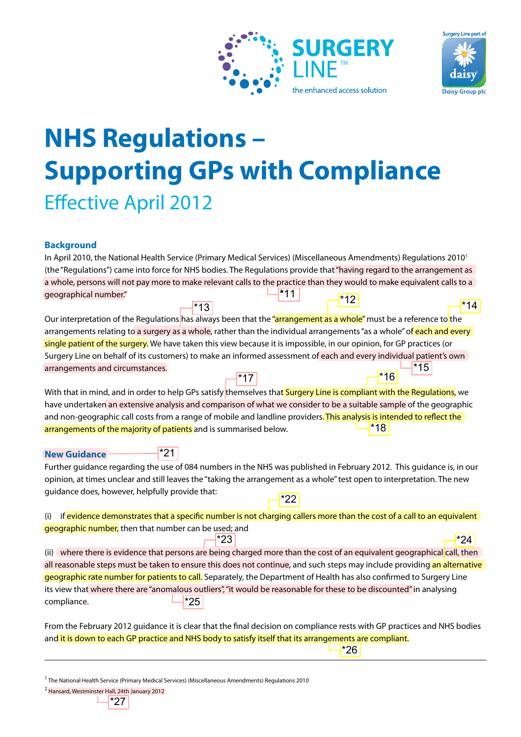



## **NHS Regulations – Supporting GPs with Compliance Effective April 2012**

## **Background**

|                       | In April 2010, the National Health Service (Primary Medical Services) (Miscellaneous Amendments) Regulations 2010 <sup>1</sup> |       |
|-----------------------|--------------------------------------------------------------------------------------------------------------------------------|-------|
|                       | (the "Regulations") came into force for NHS bodies. The Regulations provide that "having regard to the arrangement as          |       |
|                       | a whole, persons will not pay more to make relevant calls to the practice than they would to make equivalent calls to a        |       |
| geographical number." | $ $ *11<br>$-$ *12 $\overline{ }$                                                                                              |       |
| $*13$                 |                                                                                                                                | $*14$ |

| geographical number."                                                                                                               |         |  |     |
|-------------------------------------------------------------------------------------------------------------------------------------|---------|--|-----|
|                                                                                                                                     | $^*$ 13 |  | 14* |
| Our interpretation of the Regulations has always been that the "arrangement as a whole" must be a reference to the                  |         |  |     |
| arrangements relating to a surgery as a whole, rather than the individual arrangements "as a whole" of each and every               |         |  |     |
| single patient of the surgery. We have taken this view because it is impossible, in our opinion, for GP practices (or               |         |  |     |
| Surgery Line on behalf of its customers) to make an informed assessment of each and every individual patient's own                  |         |  |     |
| arrangements and circumstances.                                                                                                     |         |  |     |
|                                                                                                                                     |         |  |     |
| With that in mind, and in order to help GPs satisfy <mark>themselves that Surgery Line is compliant with the Regulations,</mark> we |         |  |     |
| have undertaken an extensive analysis and comparison of what we consider to be a suitable sample of the geographic                  |         |  |     |
| and non-geographic call costs from a range of mobile and landline providers. This analysis is intended to reflect the               |         |  |     |
| arrangements of the majority of patients and is summarised below.                                                                   |         |  |     |

| <b>New Guidance</b> | <b>*21</b> |                                                         |
|---------------------|------------|---------------------------------------------------------|
|                     |            | Further guidance regarding the use of 084 numbers in th |

Further guidance regarding the use of 084 numbers in the NHS was published in February 2012. This guidance is, in our opinion, at times unclear and still leaves the "taking the arrangement as a whole" test open to interpretation. The new guidance does, however, helpfully provide that:

| (i) if evidence demonstrates that a specific number is not charging callers more than the cost of a call to an equivalent |
|---------------------------------------------------------------------------------------------------------------------------|
| geographic number, then that number can be used; and                                                                      |

(ii) where there is evidence that persons are being charged more than the cost of an equivalent geographical call, then all reasonable steps must be taken to ensure this does not continue, and such steps may include providing an alternative geographic rate number for patients to call. Separately, the Department of Health has also confirmed to Surgery Line its view that where there are "anomalous outliers", "it would be reasonable for these to be discounted" in analysing compliance. \*25 and in order to help GPs satisfy themselves that **Surgery Line is compliant with**<br>an extensive analysis and comparison of what we consider to be a suitable same<br>incell costs from a range of mobile and landline providers. T

From the February 2012 guidance it is clear that the final decision on compliance rests with GP practices and NHS bodies and it is down to each GP practice and NHS body to satisfy itself that its arrangements are compliant.

\*26

<sup>1</sup> The National Health Service (Primary Medical Services) (Miscellaneous Amendments) Regulations 2010

2 Hansard, Westminster Hall, 24th January 2012